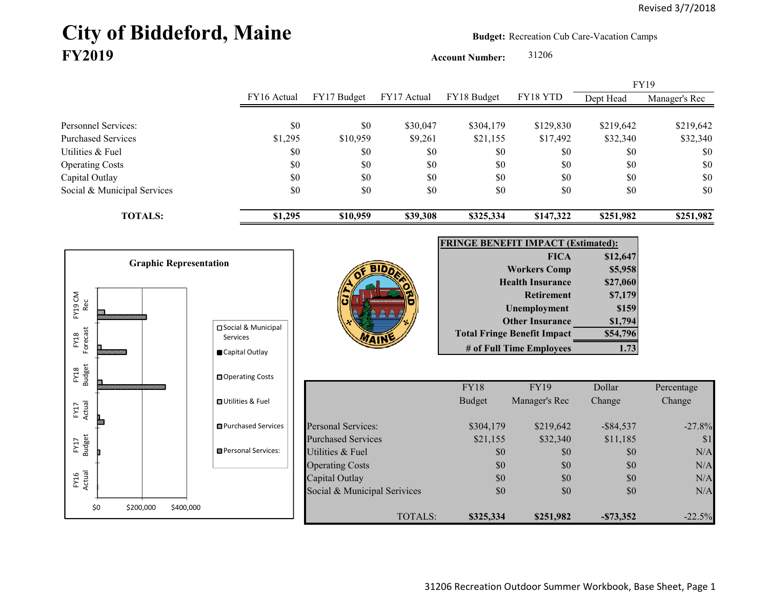# City of Biddeford, Maine **Budget:** Recreation Cub Care-Vacation Camps **FY2019**

**Account Number:** 31206

FY16 Actual FY17 Budget FY17 Actual FY18 Budget FY18 YTD Dept Head Manager's Rec Personnel Services: \$0 \$0 \$30,047 \$304,179 \$129,830 \$219,642 \$219,642 Purchased Services 51,295 \$1,295 \$10,959 \$9,261 \$21,155 \$17,492 \$32,340 \$32,340 Utilities & Fuel \$0 \$0 \$0 \$0 \$0 \$0 \$0 Operating Costs \$0 \$0 \$0 \$0 \$0 \$0 Capital Outlay \$0 \$0 \$0 \$0 \$0 \$0 Social & Municipal Services \$0 \$0 \$0 \$0 \$0 \$0 \$0 **TOTALS: \$1,295 \$10,959 \$39,308 \$325,334 \$147,322 \$251,982 \$251,982** FY19



31206 Recreation Outdoor Summer Workbook, Base Sheet, Page 1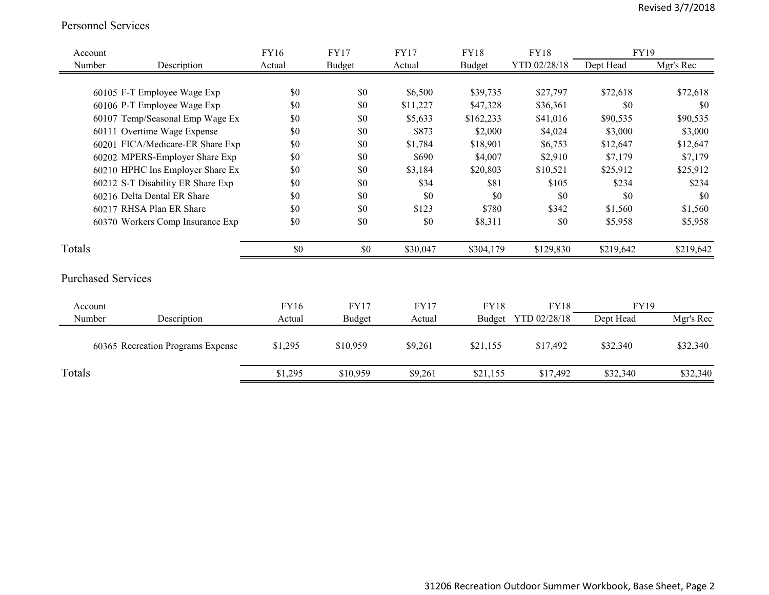#### Personnel Services

| Account                     |                                   | <b>FY16</b> | <b>FY17</b>   | <b>FY17</b> | <b>FY18</b>   | <b>FY18</b>         | FY19        |           |
|-----------------------------|-----------------------------------|-------------|---------------|-------------|---------------|---------------------|-------------|-----------|
| Number                      | Description                       | Actual      | <b>Budget</b> | Actual      | <b>Budget</b> | YTD 02/28/18        | Dept Head   | Mgr's Rec |
|                             |                                   |             |               |             |               |                     |             |           |
|                             | 60105 F-T Employee Wage Exp       | \$0         | \$0           | \$6,500     | \$39,735      | \$27,797            | \$72,618    | \$72,618  |
|                             | 60106 P-T Employee Wage Exp       | \$0         | \$0           | \$11,227    | \$47,328      | \$36,361            | \$0         | \$0       |
|                             | 60107 Temp/Seasonal Emp Wage Ex   | \$0         | \$0           | \$5,633     | \$162,233     | \$41,016            | \$90,535    | \$90,535  |
|                             | 60111 Overtime Wage Expense       | \$0         | \$0           | \$873       | \$2,000       | \$4,024             | \$3,000     | \$3,000   |
|                             | 60201 FICA/Medicare-ER Share Exp  | \$0         | \$0           | \$1,784     | \$18,901      | \$6,753             | \$12,647    | \$12,647  |
|                             | 60202 MPERS-Employer Share Exp    | \$0         | \$0           | \$690       | \$4,007       | \$2,910             | \$7,179     | \$7,179   |
|                             | 60210 HPHC Ins Employer Share Ex  | \$0         | \$0           | \$3,184     | \$20,803      | \$10,521            | \$25,912    | \$25,912  |
|                             | 60212 S-T Disability ER Share Exp | \$0         | \$0           | \$34        | \$81          | \$105               | \$234       | \$234     |
| 60216 Delta Dental ER Share |                                   | \$0         | \$0           | \$0         | \$0           | \$0                 | \$0         | \$0       |
|                             | 60217 RHSA Plan ER Share          | \$0         | \$0           | \$123       | \$780         | \$342               | \$1,560     | \$1,560   |
|                             | 60370 Workers Comp Insurance Exp  | \$0         | \$0           | \$0         | \$8,311       | \$0                 | \$5,958     | \$5,958   |
| Totals                      |                                   | $\$0$       | \$0           | \$30,047    | \$304,179     | \$129,830           | \$219,642   | \$219,642 |
| <b>Purchased Services</b>   |                                   |             |               |             |               |                     |             |           |
| Account                     |                                   | FY16        | <b>FY17</b>   | <b>FY17</b> | <b>FY18</b>   | <b>FY18</b>         | <b>FY19</b> |           |
| Number                      | Description                       | Actual      | <b>Budget</b> | Actual      |               | Budget YTD 02/28/18 | Dept Head   | Mgr's Rec |
|                             | 60365 Recreation Programs Expense | \$1,295     | \$10,959      | \$9,261     | \$21,155      | \$17,492            | \$32,340    | \$32,340  |
| Totals                      |                                   | \$1,295     | \$10,959      | \$9,261     | \$21,155      | \$17,492            | \$32,340    | \$32,340  |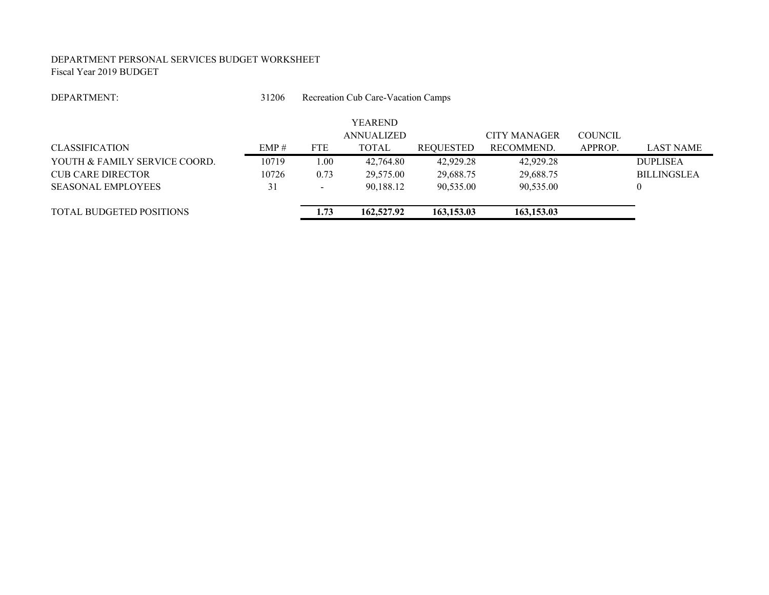#### DEPARTMENT PERSONAL SERVICES BUDGET WORKSHEET Fiscal Year 2019 BUDGET

#### DEPARTMENT:

 31206Recreation Cub Care-Vacation Camps

|                               |       |                          | <b>YEAREND</b> |            |                     |                |                    |
|-------------------------------|-------|--------------------------|----------------|------------|---------------------|----------------|--------------------|
|                               |       |                          | ANNUALIZED     |            | <b>CITY MANAGER</b> | <b>COUNCIL</b> |                    |
| <b>CLASSIFICATION</b>         | EMP#  | <b>FTE</b>               | <b>TOTAL</b>   | REQUESTED  | RECOMMEND.          | APPROP.        | <b>LAST NAME</b>   |
| YOUTH & FAMILY SERVICE COORD. | 10719 | 1.00                     | 42,764.80      | 42,929.28  | 42,929.28           |                | <b>DUPLISEA</b>    |
| <b>CUB CARE DIRECTOR</b>      | 10726 | 0.73                     | 29,575.00      | 29,688.75  | 29,688.75           |                | <b>BILLINGSLEA</b> |
| <b>SEASONAL EMPLOYEES</b>     | 31    | $\overline{\phantom{a}}$ | 90.188.12      | 90.535.00  | 90,535.00           |                | $\theta$           |
| TOTAL BUDGETED POSITIONS      |       | 1.73                     | 162,527.92     | 163,153.03 | 163,153.03          |                |                    |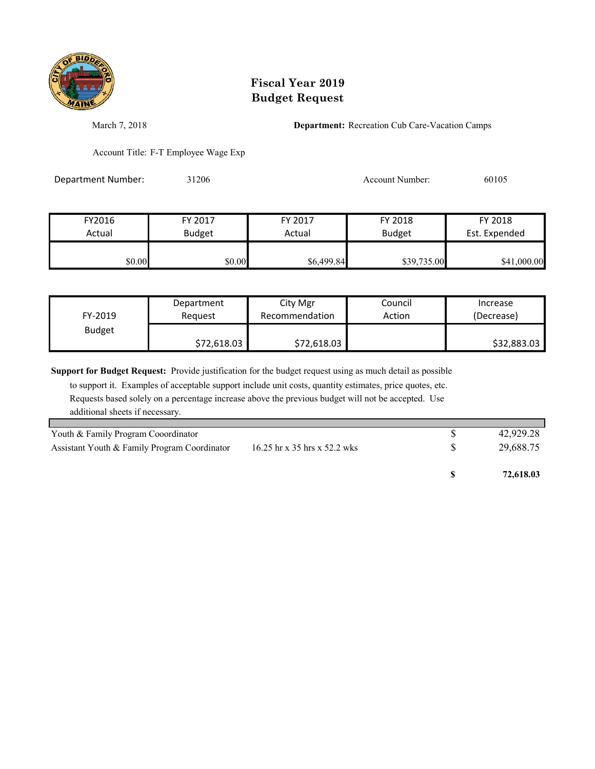

March 7, 2018 **Department:** Recreation Cub Care-Vacation Camps

Account Title: F-T Employee Wage Exp

Department Number: 31206 31206 Account Number: 60105

| FY2016 | FY 2017       | FY 2017    | FY 2018       | FY 2018       |
|--------|---------------|------------|---------------|---------------|
| Actual | <b>Budget</b> | Actual     | <b>Budget</b> | Est. Expended |
|        |               |            |               |               |
| \$0.00 | \$0.00        | \$6,499.84 | \$39,735.00   | \$41,000.00   |

| FY-2019       | Department  | City Mgr       | Council | Increase    |
|---------------|-------------|----------------|---------|-------------|
|               | Reauest     | Recommendation | Action  | (Decrease)  |
| <b>Budget</b> | \$72,618.03 | \$72,618.03    |         | \$32,883.03 |

**Support for Budget Request:** Provide justification for the budget request using as much detail as possible

| Youth & Family Program Cooordinator          |                              | 42,929.28 |
|----------------------------------------------|------------------------------|-----------|
| Assistant Youth & Family Program Coordinator | 16.25 hr x 35 hrs x 52.2 wks | 29,688.75 |
|                                              |                              | 72,618.03 |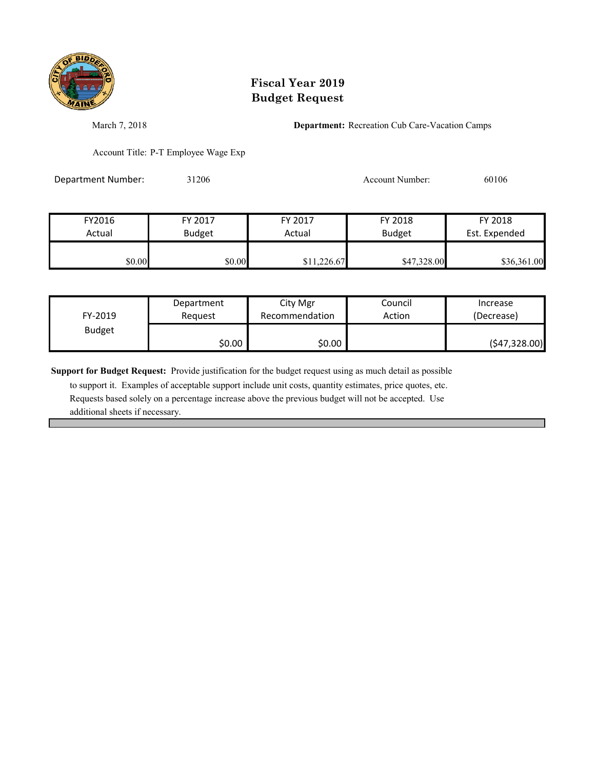

March 7, 2018 **Department:** Recreation Cub Care-Vacation Camps

Account Title: P-T Employee Wage Exp

Department Number: 31206 31206 Account Number: 60106

| FY2016 | FY 2017 | FY 2017     | FY 2018       | FY 2018       |
|--------|---------|-------------|---------------|---------------|
| Actual | Budget  | Actual      | <b>Budget</b> | Est. Expended |
| \$0.00 | \$0.00  | \$11,226.67 | \$47,328.00   | \$36,361.00   |

| FY-2019       | Department | City Mgr       | Council | Increase      |
|---------------|------------|----------------|---------|---------------|
|               | Reauest    | Recommendation | Action  | (Decrease)    |
| <b>Budget</b> | \$0.00     | \$0.00         |         | (547, 328.00) |

**Support for Budget Request:** Provide justification for the budget request using as much detail as possible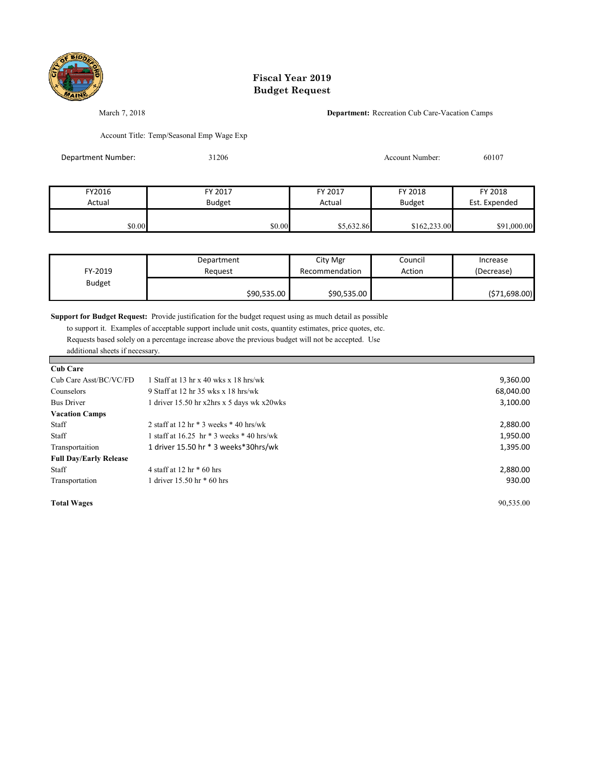

March 7, 2018 **Department:** Recreation Cub Care-Vacation Camps

Account Title: Temp/Seasonal Emp Wage Exp

| Department Number: | 31206         |            | 60107         |               |
|--------------------|---------------|------------|---------------|---------------|
|                    |               |            |               |               |
| FY2016             | FY 2017       | FY 2017    | FY 2018       | FY 2018       |
| Actual             | <b>Budget</b> | Actual     | <b>Budget</b> | Est. Expended |
| \$0.00             | \$0.00        | \$5,632.86 | \$162,233.00  | \$91,000.00   |

| FY-2019       | Department  | City Mgr       | Council | Increase      |
|---------------|-------------|----------------|---------|---------------|
|               | Reauest     | Recommendation | Action  | (Decrease)    |
| <b>Budget</b> | \$90,535.00 | \$90,535.00    |         | (571, 698.00) |

**Support for Budget Request:** Provide justification for the budget request using as much detail as possible

 to support it. Examples of acceptable support include unit costs, quantity estimates, price quotes, etc. Requests based solely on a percentage increase above the previous budget will not be accepted. Use additional sheets if necessary.

## $\Gamma$ <sub>Cub</sub>  $\Gamma$

| Cup Care                      |                                               |           |
|-------------------------------|-----------------------------------------------|-----------|
| Cub Care Asst/BC/VC/FD        | 1 Staff at 13 hr x 40 wks x 18 hrs/wk         | 9,360.00  |
| Counselors                    | 9 Staff at 12 hr 35 wks x 18 hrs/wk           | 68,040.00 |
| <b>Bus Driver</b>             | 1 driver $15.50$ hr x2hrs x 5 days wk x20wks  | 3,100.00  |
| <b>Vacation Camps</b>         |                                               |           |
| Staff                         | 2 staff at 12 hr $*$ 3 weeks $*$ 40 hrs/wk    | 2,880.00  |
| Staff                         | staff at $16.25$ hr $*$ 3 weeks $*$ 40 hrs/wk | 1,950.00  |
| Transportaition               | 1 driver 15.50 hr * 3 weeks * 30hrs/wk        | 1,395.00  |
| <b>Full Day/Early Release</b> |                                               |           |
| Staff                         | 4 staff at 12 hr $*$ 60 hrs                   | 2,880.00  |
| Transportation                | 1 driver $15.50$ hr $*$ 60 hrs                | 930.00    |
|                               |                                               |           |

**Total Wages** 90,535.00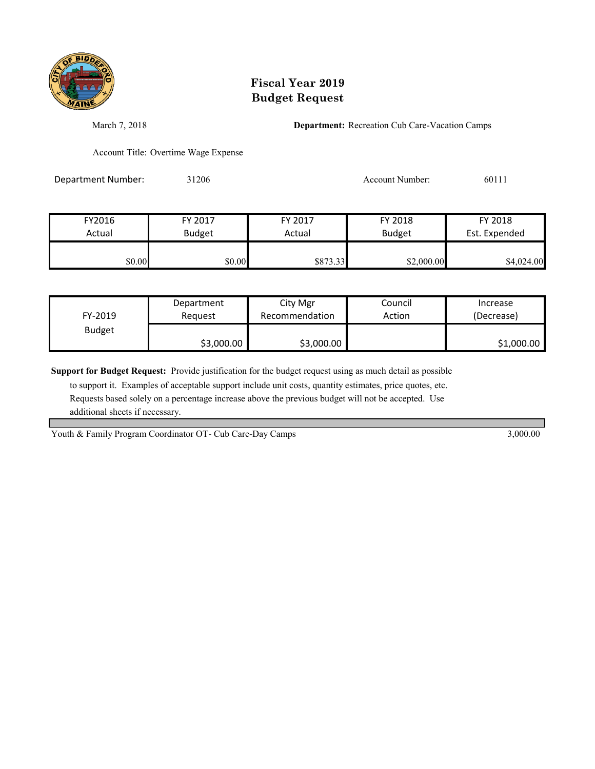

March 7, 2018 **Department:** Recreation Cub Care-Vacation Camps

Account Title: Overtime Wage Expense

Department Number: 31206 31206 Account Number: 60111

| FY2016 | FY 2017       | FY 2017  | FY 2018       | FY 2018       |
|--------|---------------|----------|---------------|---------------|
| Actual | <b>Budget</b> | Actual   | <b>Budget</b> | Est. Expended |
|        |               |          |               |               |
| \$0.00 | \$0.00        | \$873.33 | \$2,000.00    | \$4,024.00    |

| FY-2019       | Department | City Mgr       | Council | Increase   |
|---------------|------------|----------------|---------|------------|
|               | Reauest    | Recommendation | Action  | (Decrease) |
| <b>Budget</b> | \$3,000.00 | \$3,000.00     |         | \$1,000.00 |

**Support for Budget Request:** Provide justification for the budget request using as much detail as possible

 to support it. Examples of acceptable support include unit costs, quantity estimates, price quotes, etc. Requests based solely on a percentage increase above the previous budget will not be accepted. Use additional sheets if necessary.

Youth & Family Program Coordinator OT- Cub Care-Day Camps 3,000.00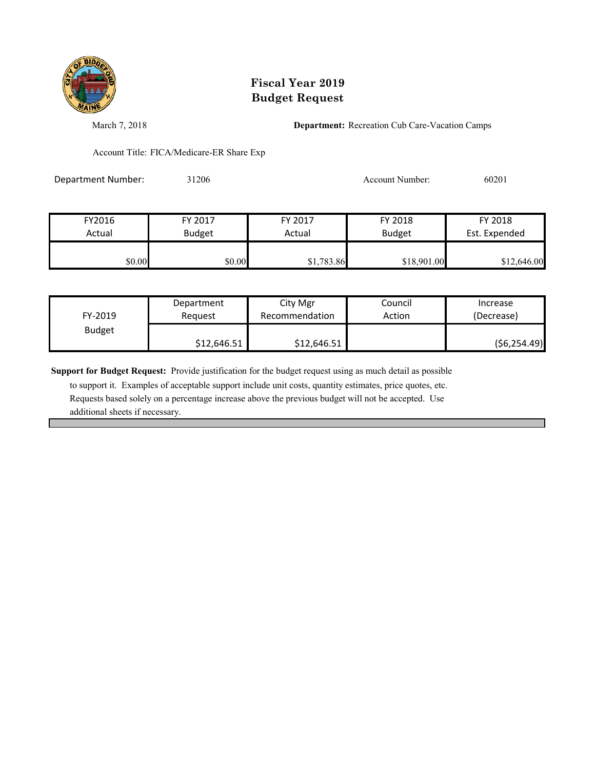

March 7, 2018 **Department:** Recreation Cub Care-Vacation Camps

Account Title: FICA/Medicare-ER Share Exp

Department Number: 31206 31206 Account Number: 60201

| FY2016 | FY 2017       | FY 2017    | FY 2018       | FY 2018       |
|--------|---------------|------------|---------------|---------------|
| Actual | <b>Budget</b> | Actual     | <b>Budget</b> | Est. Expended |
|        |               |            |               |               |
| \$0.00 | \$0.00        | \$1,783.86 | \$18,901.00   | \$12,646.00   |

| FY-2019       | Department  | City Mgr       | Council | Increase     |
|---------------|-------------|----------------|---------|--------------|
|               | Reauest     | Recommendation | Action  | (Decrease)   |
| <b>Budget</b> | \$12,646.51 | \$12,646.51    |         | (56, 254.49) |

**Support for Budget Request:** Provide justification for the budget request using as much detail as possible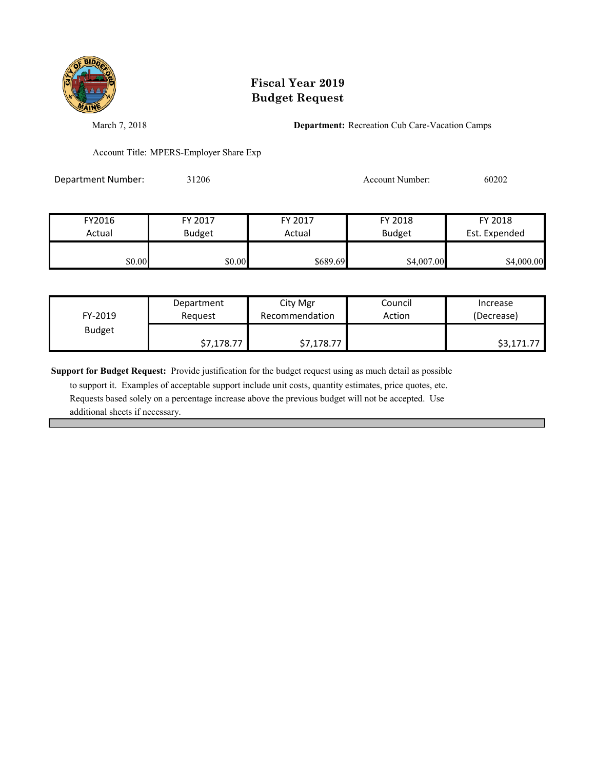

March 7, 2018 **Department:** Recreation Cub Care-Vacation Camps

Account Title: MPERS-Employer Share Exp

Department Number: 31206 31206 Account Number: 60202

| FY2016 | FY 2017       | FY 2017  | FY 2018       | FY 2018       |
|--------|---------------|----------|---------------|---------------|
| Actual | <b>Budget</b> | Actual   | <b>Budget</b> | Est. Expended |
| \$0.00 | \$0.00        | \$689.69 | \$4,007.00    | \$4,000.00    |

| FY-2019       | Department | City Mgr       | Council | Increase   |
|---------------|------------|----------------|---------|------------|
|               | Request    | Recommendation | Action  | (Decrease) |
| <b>Budget</b> | \$7,178.77 | \$7,178.77     |         | \$3,171.77 |

**Support for Budget Request:** Provide justification for the budget request using as much detail as possible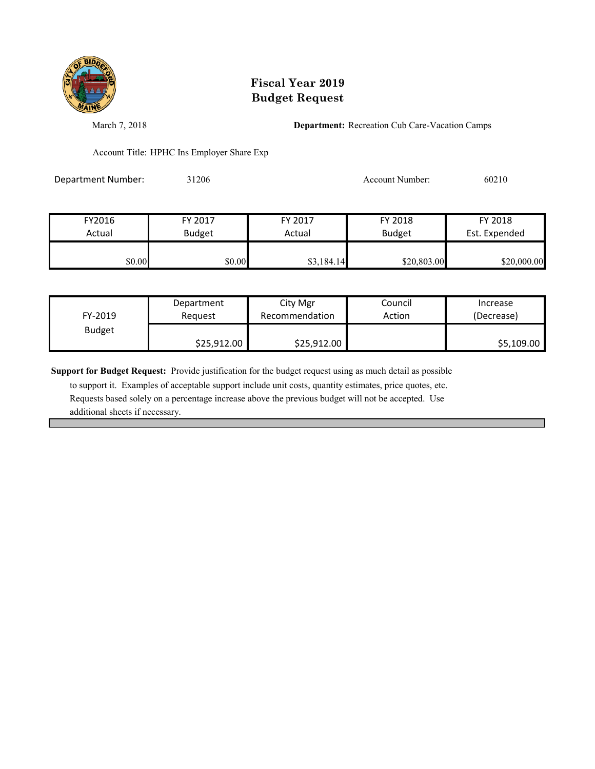

March 7, 2018 **Department:** Recreation Cub Care-Vacation Camps

Account Title: HPHC Ins Employer Share Exp

Department Number: 31206 31206 Account Number: 60210

| FY2016 | FY 2017       | FY 2017    | FY 2018       | FY 2018       |
|--------|---------------|------------|---------------|---------------|
| Actual | <b>Budget</b> | Actual     | <b>Budget</b> | Est. Expended |
| \$0.00 | \$0.00        | \$3,184.14 | \$20,803.00   | \$20,000.00   |

| FY-2019       | Department  | City Mgr       | Council | Increase   |
|---------------|-------------|----------------|---------|------------|
|               | Reauest     | Recommendation | Action  | (Decrease) |
| <b>Budget</b> | \$25,912.00 | \$25,912.00    |         | \$5,109.00 |

**Support for Budget Request:** Provide justification for the budget request using as much detail as possible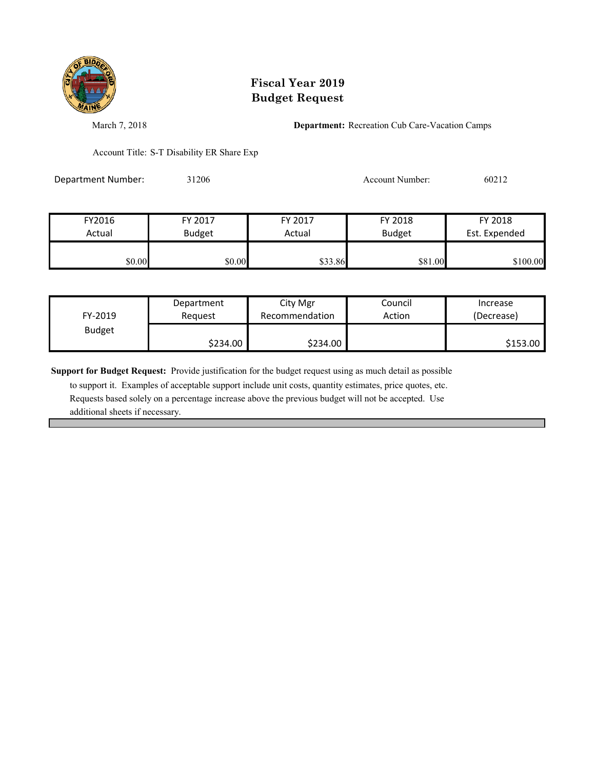

March 7, 2018 **Department:** Recreation Cub Care-Vacation Camps

Account Title: S-T Disability ER Share Exp

Department Number: 31206 31206 Account Number: 60212

| FY2016 | FY 2017       | FY 2017 | FY 2018       | FY 2018       |
|--------|---------------|---------|---------------|---------------|
| Actual | <b>Budget</b> | Actual  | <b>Budget</b> | Est. Expended |
|        |               |         |               |               |
| \$0.00 | \$0.00        | \$33.86 | \$81.00       | \$100.00      |

| FY-2019       | Department | City Mgr       | Council | Increase   |
|---------------|------------|----------------|---------|------------|
|               | Reauest    | Recommendation | Action  | (Decrease) |
| <b>Budget</b> | \$234.00   | \$234.00       |         | \$153.00   |

**Support for Budget Request:** Provide justification for the budget request using as much detail as possible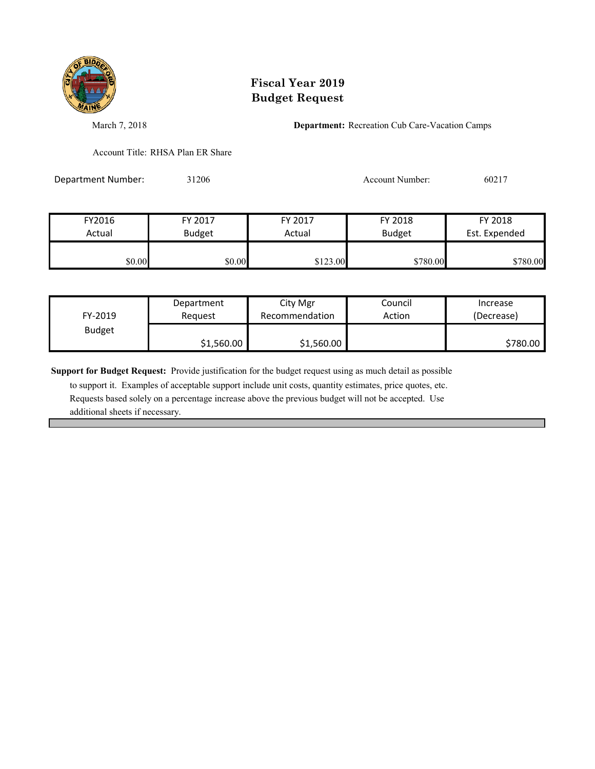

March 7, 2018 **Department:** Recreation Cub Care-Vacation Camps

Account Title: RHSA Plan ER Share

Department Number: 31206 Account Number: 60217

| FY2016 | FY 2017       | FY 2017  | FY 2018       | FY 2018       |
|--------|---------------|----------|---------------|---------------|
| Actual | <b>Budget</b> | Actual   | <b>Budget</b> | Est. Expended |
| \$0.00 | \$0.00        | \$123.00 | \$780.00      | \$780.00      |

| FY-2019       | Department | City Mgr       | Council | Increase   |
|---------------|------------|----------------|---------|------------|
|               | Reauest    | Recommendation | Action  | (Decrease) |
| <b>Budget</b> | \$1,560.00 | \$1,560.00     |         | \$780.00   |

**Support for Budget Request:** Provide justification for the budget request using as much detail as possible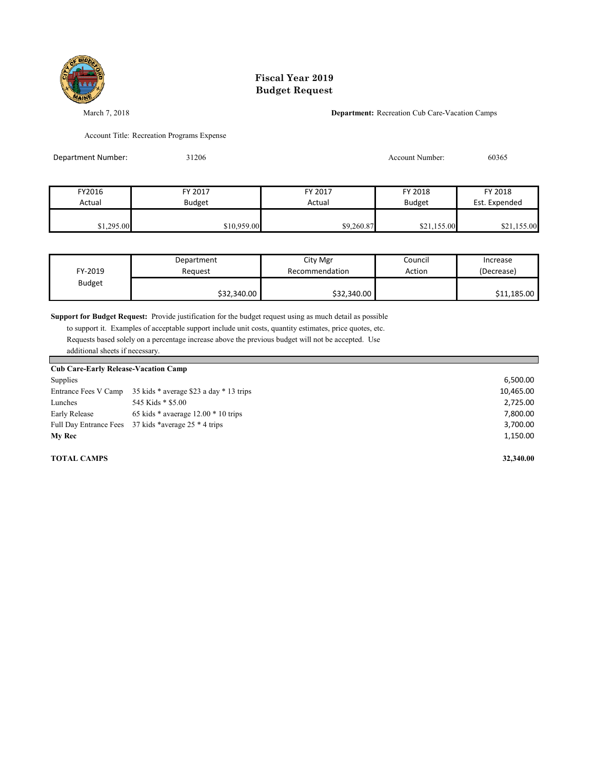

March 7, 2018 **Department:** Recreation Cub Care-Vacation Camps

Account Title: Recreation Programs Expense

| Department Number: | 31206         |            | Account Number: | 60365         |
|--------------------|---------------|------------|-----------------|---------------|
|                    |               |            |                 |               |
| FY2016             | FY 2017       | FY 2017    | FY 2018         | FY 2018       |
| Actual             | <b>Budget</b> | Actual     | <b>Budget</b>   | Est. Expended |
| \$1,295.00         | \$10,959.00   | \$9,260.87 | \$21,155.00     | \$21,155.00   |

| FY-2019       | Department  | City Mgr       | Council | Increase    |
|---------------|-------------|----------------|---------|-------------|
|               | Reauest     | Recommendation | Action  | (Decrease)  |
| <b>Budget</b> | \$32,340.00 | \$32,340.00    |         | \$11,185.00 |

**Support for Budget Request:** Provide justification for the budget request using as much detail as possible

 to support it. Examples of acceptable support include unit costs, quantity estimates, price quotes, etc. Requests based solely on a percentage increase above the previous budget will not be accepted. Use additional sheets if necessary.

| <b>Cub Care-Early Release-Vacation Camp</b> |                                                      |           |  |  |  |
|---------------------------------------------|------------------------------------------------------|-----------|--|--|--|
| Supplies                                    |                                                      | 6,500.00  |  |  |  |
| Entrance Fees V Camp                        | 35 kids * average \$23 a day * 13 trips              | 10,465.00 |  |  |  |
| Lunches                                     | 545 Kids * \$5.00                                    | 2,725.00  |  |  |  |
| Early Release                               | 65 kids $*$ avaerage 12.00 $*$ 10 trips              | 7,800.00  |  |  |  |
|                                             | Full Day Entrance Fees 37 kids *average 25 * 4 trips | 3,700.00  |  |  |  |
| <b>My Rec</b>                               |                                                      | 1,150.00  |  |  |  |
| <b>TOTAL CAMPS</b>                          |                                                      | 32,340.00 |  |  |  |

Г

٠